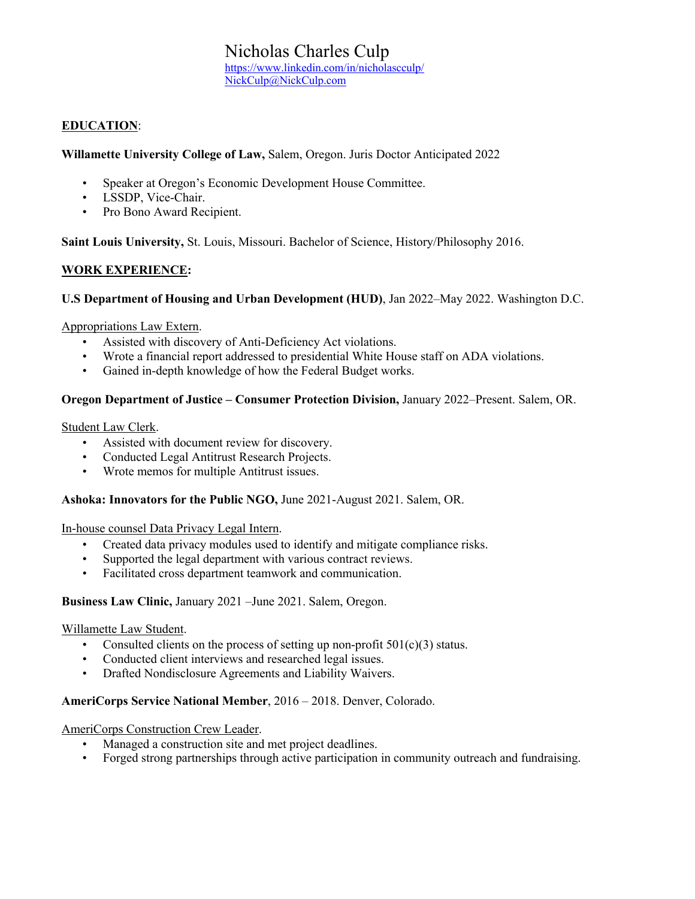# Nicholas Charles Culp

https://www.linkedin.com/in/nicholascculp/ NickCulp@NickCulp.com

### **EDUCATION**:

**Willamette University College of Law,** Salem, Oregon. Juris Doctor Anticipated 2022

- Speaker at Oregon's Economic Development House Committee.
- LSSDP, Vice-Chair.
- Pro Bono Award Recipient.

**Saint Louis University,** St. Louis, Missouri. Bachelor of Science, History/Philosophy 2016.

#### **WORK EXPERIENCE:**

#### **U.S Department of Housing and Urban Development (HUD)**, Jan 2022–May 2022. Washington D.C.

#### Appropriations Law Extern.

- Assisted with discovery of Anti-Deficiency Act violations.
- Wrote a financial report addressed to presidential White House staff on ADA violations.
- Gained in-depth knowledge of how the Federal Budget works.

#### **Oregon Department of Justice – Consumer Protection Division,** January 2022–Present. Salem, OR.

Student Law Clerk.

- Assisted with document review for discovery.
- Conducted Legal Antitrust Research Projects.
- Wrote memos for multiple Antitrust issues.

#### **Ashoka: Innovators for the Public NGO,** June 2021-August 2021. Salem, OR.

In-house counsel Data Privacy Legal Intern.

- Created data privacy modules used to identify and mitigate compliance risks.
- Supported the legal department with various contract reviews.
- Facilitated cross department teamwork and communication.

#### **Business Law Clinic,** January 2021 –June 2021. Salem, Oregon.

#### Willamette Law Student.

- Consulted clients on the process of setting up non-profit  $501(c)(3)$  status.
- Conducted client interviews and researched legal issues.
- Drafted Nondisclosure Agreements and Liability Waivers.

#### **AmeriCorps Service National Member**, 2016 – 2018. Denver, Colorado.

#### AmeriCorps Construction Crew Leader.

- Managed a construction site and met project deadlines.
- Forged strong partnerships through active participation in community outreach and fundraising.